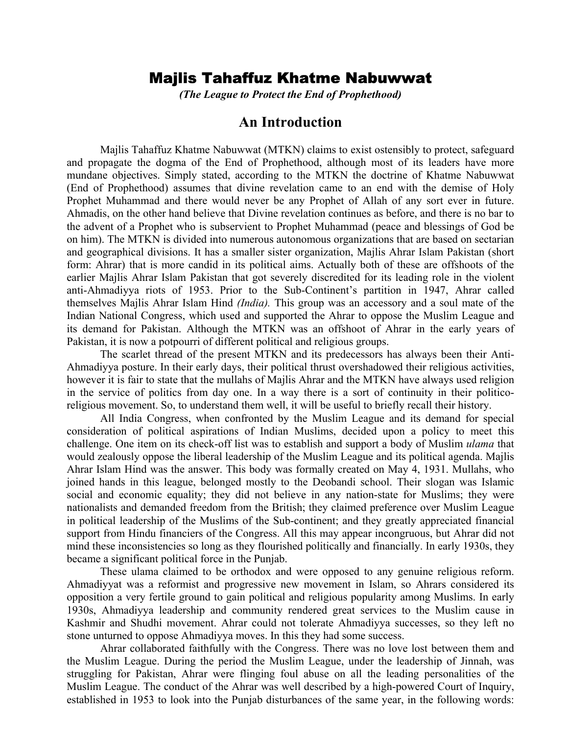# Majlis Tahaffuz Khatme Nabuwwat

*(The League to Protect the End of Prophethood)* 

## **An Introduction**

Majlis Tahaffuz Khatme Nabuwwat (MTKN) claims to exist ostensibly to protect, safeguard and propagate the dogma of the End of Prophethood, although most of its leaders have more mundane objectives. Simply stated, according to the MTKN the doctrine of Khatme Nabuwwat (End of Prophethood) assumes that divine revelation came to an end with the demise of Holy Prophet Muhammad and there would never be any Prophet of Allah of any sort ever in future. Ahmadis, on the other hand believe that Divine revelation continues as before, and there is no bar to the advent of a Prophet who is subservient to Prophet Muhammad (peace and blessings of God be on him). The MTKN is divided into numerous autonomous organizations that are based on sectarian and geographical divisions. It has a smaller sister organization, Majlis Ahrar Islam Pakistan (short form: Ahrar) that is more candid in its political aims. Actually both of these are offshoots of the earlier Majlis Ahrar Islam Pakistan that got severely discredited for its leading role in the violent anti-Ahmadiyya riots of 1953. Prior to the Sub-Continent's partition in 1947, Ahrar called themselves Majlis Ahrar Islam Hind *(India).* This group was an accessory and a soul mate of the Indian National Congress, which used and supported the Ahrar to oppose the Muslim League and its demand for Pakistan. Although the MTKN was an offshoot of Ahrar in the early years of Pakistan, it is now a potpourri of different political and religious groups.

 The scarlet thread of the present MTKN and its predecessors has always been their Anti-Ahmadiyya posture. In their early days, their political thrust overshadowed their religious activities, however it is fair to state that the mullahs of Majlis Ahrar and the MTKN have always used religion in the service of politics from day one. In a way there is a sort of continuity in their politicoreligious movement. So, to understand them well, it will be useful to briefly recall their history.

 All India Congress, when confronted by the Muslim League and its demand for special consideration of political aspirations of Indian Muslims, decided upon a policy to meet this challenge. One item on its check-off list was to establish and support a body of Muslim *ulama* that would zealously oppose the liberal leadership of the Muslim League and its political agenda. Majlis Ahrar Islam Hind was the answer. This body was formally created on May 4, 1931. Mullahs, who joined hands in this league, belonged mostly to the Deobandi school. Their slogan was Islamic social and economic equality; they did not believe in any nation-state for Muslims; they were nationalists and demanded freedom from the British; they claimed preference over Muslim League in political leadership of the Muslims of the Sub-continent; and they greatly appreciated financial support from Hindu financiers of the Congress. All this may appear incongruous, but Ahrar did not mind these inconsistencies so long as they flourished politically and financially. In early 1930s, they became a significant political force in the Punjab.

 These ulama claimed to be orthodox and were opposed to any genuine religious reform. Ahmadiyyat was a reformist and progressive new movement in Islam, so Ahrars considered its opposition a very fertile ground to gain political and religious popularity among Muslims. In early 1930s, Ahmadiyya leadership and community rendered great services to the Muslim cause in Kashmir and Shudhi movement. Ahrar could not tolerate Ahmadiyya successes, so they left no stone unturned to oppose Ahmadiyya moves. In this they had some success.

 Ahrar collaborated faithfully with the Congress. There was no love lost between them and the Muslim League. During the period the Muslim League, under the leadership of Jinnah, was struggling for Pakistan, Ahrar were flinging foul abuse on all the leading personalities of the Muslim League. The conduct of the Ahrar was well described by a high-powered Court of Inquiry, established in 1953 to look into the Punjab disturbances of the same year, in the following words: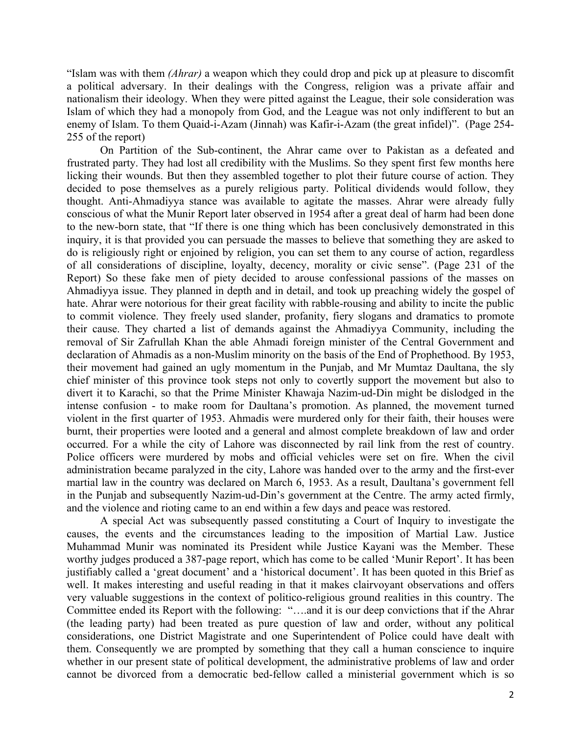"Islam was with them *(Ahrar)* a weapon which they could drop and pick up at pleasure to discomfit a political adversary. In their dealings with the Congress, religion was a private affair and nationalism their ideology. When they were pitted against the League, their sole consideration was Islam of which they had a monopoly from God, and the League was not only indifferent to but an enemy of Islam. To them Quaid-i-Azam (Jinnah) was Kafir-i-Azam (the great infidel)". (Page 254- 255 of the report)

 On Partition of the Sub-continent, the Ahrar came over to Pakistan as a defeated and frustrated party. They had lost all credibility with the Muslims. So they spent first few months here licking their wounds. But then they assembled together to plot their future course of action. They decided to pose themselves as a purely religious party. Political dividends would follow, they thought. Anti-Ahmadiyya stance was available to agitate the masses. Ahrar were already fully conscious of what the Munir Report later observed in 1954 after a great deal of harm had been done to the new-born state, that "If there is one thing which has been conclusively demonstrated in this inquiry, it is that provided you can persuade the masses to believe that something they are asked to do is religiously right or enjoined by religion, you can set them to any course of action, regardless of all considerations of discipline, loyalty, decency, morality or civic sense". (Page 231 of the Report) So these fake men of piety decided to arouse confessional passions of the masses on Ahmadiyya issue. They planned in depth and in detail, and took up preaching widely the gospel of hate. Ahrar were notorious for their great facility with rabble-rousing and ability to incite the public to commit violence. They freely used slander, profanity, fiery slogans and dramatics to promote their cause. They charted a list of demands against the Ahmadiyya Community, including the removal of Sir Zafrullah Khan the able Ahmadi foreign minister of the Central Government and declaration of Ahmadis as a non-Muslim minority on the basis of the End of Prophethood. By 1953, their movement had gained an ugly momentum in the Punjab, and Mr Mumtaz Daultana, the sly chief minister of this province took steps not only to covertly support the movement but also to divert it to Karachi, so that the Prime Minister Khawaja Nazim-ud-Din might be dislodged in the intense confusion - to make room for Daultana's promotion. As planned, the movement turned violent in the first quarter of 1953. Ahmadis were murdered only for their faith, their houses were burnt, their properties were looted and a general and almost complete breakdown of law and order occurred. For a while the city of Lahore was disconnected by rail link from the rest of country. Police officers were murdered by mobs and official vehicles were set on fire. When the civil administration became paralyzed in the city, Lahore was handed over to the army and the first-ever martial law in the country was declared on March 6, 1953. As a result, Daultana's government fell in the Punjab and subsequently Nazim-ud-Din's government at the Centre. The army acted firmly, and the violence and rioting came to an end within a few days and peace was restored.

 A special Act was subsequently passed constituting a Court of Inquiry to investigate the causes, the events and the circumstances leading to the imposition of Martial Law. Justice Muhammad Munir was nominated its President while Justice Kayani was the Member. These worthy judges produced a 387-page report, which has come to be called 'Munir Report'. It has been justifiably called a 'great document' and a 'historical document'. It has been quoted in this Brief as well. It makes interesting and useful reading in that it makes clairvoyant observations and offers very valuable suggestions in the context of politico-religious ground realities in this country. The Committee ended its Report with the following: "….and it is our deep convictions that if the Ahrar (the leading party) had been treated as pure question of law and order, without any political considerations, one District Magistrate and one Superintendent of Police could have dealt with them. Consequently we are prompted by something that they call a human conscience to inquire whether in our present state of political development, the administrative problems of law and order cannot be divorced from a democratic bed-fellow called a ministerial government which is so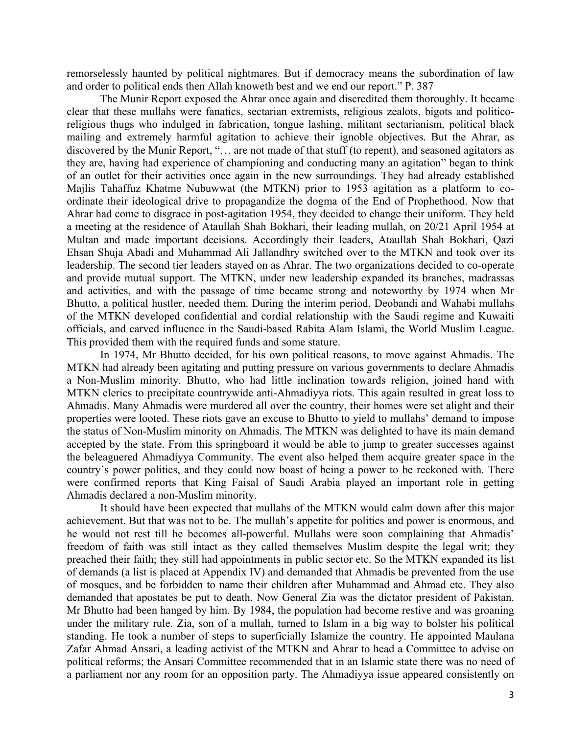remorselessly haunted by political nightmares. But if democracy means the subordination of law and order to political ends then Allah knoweth best and we end our report." P. 387

 The Munir Report exposed the Ahrar once again and discredited them thoroughly. It became clear that these mullahs were fanatics, sectarian extremists, religious zealots, bigots and politicoreligious thugs who indulged in fabrication, tongue lashing, militant sectarianism, political black mailing and extremely harmful agitation to achieve their ignoble objectives. But the Ahrar, as discovered by the Munir Report, "… are not made of that stuff (to repent), and seasoned agitators as they are, having had experience of championing and conducting many an agitation" began to think of an outlet for their activities once again in the new surroundings. They had already established Majlis Tahaffuz Khatme Nubuwwat (the MTKN) prior to 1953 agitation as a platform to coordinate their ideological drive to propagandize the dogma of the End of Prophethood. Now that Ahrar had come to disgrace in post-agitation 1954, they decided to change their uniform. They held a meeting at the residence of Ataullah Shah Bokhari, their leading mullah, on 20/21 April 1954 at Multan and made important decisions. Accordingly their leaders, Ataullah Shah Bokhari, Qazi Ehsan Shuja Abadi and Muhammad Ali Jallandhry switched over to the MTKN and took over its leadership. The second tier leaders stayed on as Ahrar. The two organizations decided to co-operate and provide mutual support. The MTKN, under new leadership expanded its branches, madrassas and activities, and with the passage of time became strong and noteworthy by 1974 when Mr Bhutto, a political hustler, needed them. During the interim period, Deobandi and Wahabi mullahs of the MTKN developed confidential and cordial relationship with the Saudi regime and Kuwaiti officials, and carved influence in the Saudi-based Rabita Alam Islami, the World Muslim League. This provided them with the required funds and some stature.

 In 1974, Mr Bhutto decided, for his own political reasons, to move against Ahmadis. The MTKN had already been agitating and putting pressure on various governments to declare Ahmadis a Non-Muslim minority. Bhutto, who had little inclination towards religion, joined hand with MTKN clerics to precipitate countrywide anti-Ahmadiyya riots. This again resulted in great loss to Ahmadis. Many Ahmadis were murdered all over the country, their homes were set alight and their properties were looted. These riots gave an excuse to Bhutto to yield to mullahs' demand to impose the status of Non-Muslim minority on Ahmadis. The MTKN was delighted to have its main demand accepted by the state. From this springboard it would be able to jump to greater successes against the beleaguered Ahmadiyya Community. The event also helped them acquire greater space in the country's power politics, and they could now boast of being a power to be reckoned with. There were confirmed reports that King Faisal of Saudi Arabia played an important role in getting Ahmadis declared a non-Muslim minority.

 It should have been expected that mullahs of the MTKN would calm down after this major achievement. But that was not to be. The mullah's appetite for politics and power is enormous, and he would not rest till he becomes all-powerful. Mullahs were soon complaining that Ahmadis' freedom of faith was still intact as they called themselves Muslim despite the legal writ; they preached their faith; they still had appointments in public sector etc. So the MTKN expanded its list of demands (a list is placed at Appendix IV) and demanded that Ahmadis be prevented from the use of mosques, and be forbidden to name their children after Muhammad and Ahmad etc. They also demanded that apostates be put to death. Now General Zia was the dictator president of Pakistan. Mr Bhutto had been hanged by him. By 1984, the population had become restive and was groaning under the military rule. Zia, son of a mullah, turned to Islam in a big way to bolster his political standing. He took a number of steps to superficially Islamize the country. He appointed Maulana Zafar Ahmad Ansari, a leading activist of the MTKN and Ahrar to head a Committee to advise on political reforms; the Ansari Committee recommended that in an Islamic state there was no need of a parliament nor any room for an opposition party. The Ahmadiyya issue appeared consistently on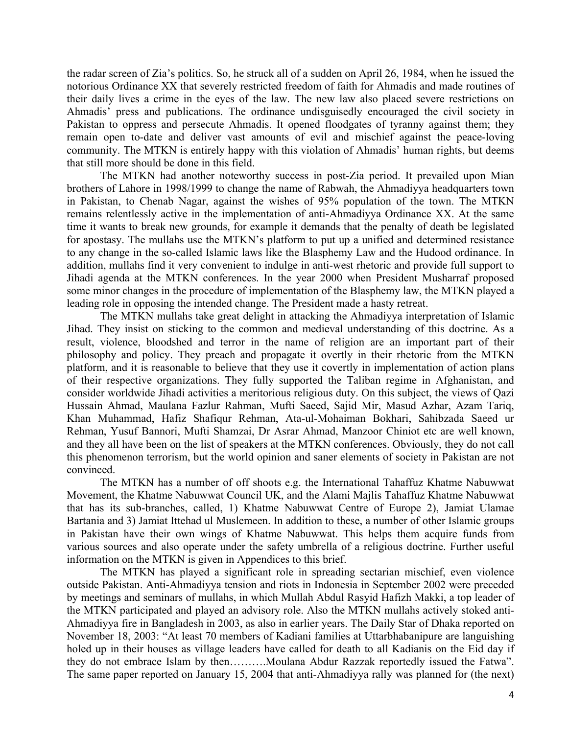the radar screen of Zia's politics. So, he struck all of a sudden on April 26, 1984, when he issued the notorious Ordinance XX that severely restricted freedom of faith for Ahmadis and made routines of their daily lives a crime in the eyes of the law. The new law also placed severe restrictions on Ahmadis' press and publications. The ordinance undisguisedly encouraged the civil society in Pakistan to oppress and persecute Ahmadis. It opened floodgates of tyranny against them; they remain open to-date and deliver vast amounts of evil and mischief against the peace-loving community. The MTKN is entirely happy with this violation of Ahmadis' human rights, but deems that still more should be done in this field.

 The MTKN had another noteworthy success in post-Zia period. It prevailed upon Mian brothers of Lahore in 1998/1999 to change the name of Rabwah, the Ahmadiyya headquarters town in Pakistan, to Chenab Nagar, against the wishes of 95% population of the town. The MTKN remains relentlessly active in the implementation of anti-Ahmadiyya Ordinance XX. At the same time it wants to break new grounds, for example it demands that the penalty of death be legislated for apostasy. The mullahs use the MTKN's platform to put up a unified and determined resistance to any change in the so-called Islamic laws like the Blasphemy Law and the Hudood ordinance. In addition, mullahs find it very convenient to indulge in anti-west rhetoric and provide full support to Jihadi agenda at the MTKN conferences. In the year 2000 when President Musharraf proposed some minor changes in the procedure of implementation of the Blasphemy law, the MTKN played a leading role in opposing the intended change. The President made a hasty retreat.

The MTKN mullahs take great delight in attacking the Ahmadiyya interpretation of Islamic Jihad. They insist on sticking to the common and medieval understanding of this doctrine. As a result, violence, bloodshed and terror in the name of religion are an important part of their philosophy and policy. They preach and propagate it overtly in their rhetoric from the MTKN platform, and it is reasonable to believe that they use it covertly in implementation of action plans of their respective organizations. They fully supported the Taliban regime in Afghanistan, and consider worldwide Jihadi activities a meritorious religious duty. On this subject, the views of Qazi Hussain Ahmad, Maulana Fazlur Rahman, Mufti Saeed, Sajid Mir, Masud Azhar, Azam Tariq, Khan Muhammad, Hafiz Shafiqur Rehman, Ata-ul-Mohaiman Bokhari, Sahibzada Saeed ur Rehman, Yusuf Bannori, Mufti Shamzai, Dr Asrar Ahmad, Manzoor Chiniot etc are well known, and they all have been on the list of speakers at the MTKN conferences. Obviously, they do not call this phenomenon terrorism, but the world opinion and saner elements of society in Pakistan are not convinced.

 The MTKN has a number of off shoots e.g. the International Tahaffuz Khatme Nabuwwat Movement, the Khatme Nabuwwat Council UK, and the Alami Majlis Tahaffuz Khatme Nabuwwat that has its sub-branches, called, 1) Khatme Nabuwwat Centre of Europe 2), Jamiat Ulamae Bartania and 3) Jamiat Ittehad ul Muslemeen. In addition to these, a number of other Islamic groups in Pakistan have their own wings of Khatme Nabuwwat. This helps them acquire funds from various sources and also operate under the safety umbrella of a religious doctrine. Further useful information on the MTKN is given in Appendices to this brief.

The MTKN has played a significant role in spreading sectarian mischief, even violence outside Pakistan. Anti-Ahmadiyya tension and riots in Indonesia in September 2002 were preceded by meetings and seminars of mullahs, in which Mullah Abdul Rasyid Hafizh Makki, a top leader of the MTKN participated and played an advisory role. Also the MTKN mullahs actively stoked anti-Ahmadiyya fire in Bangladesh in 2003, as also in earlier years. The Daily Star of Dhaka reported on November 18, 2003: "At least 70 members of Kadiani families at Uttarbhabanipure are languishing holed up in their houses as village leaders have called for death to all Kadianis on the Eid day if they do not embrace Islam by then……….Moulana Abdur Razzak reportedly issued the Fatwa". The same paper reported on January 15, 2004 that anti-Ahmadiyya rally was planned for (the next)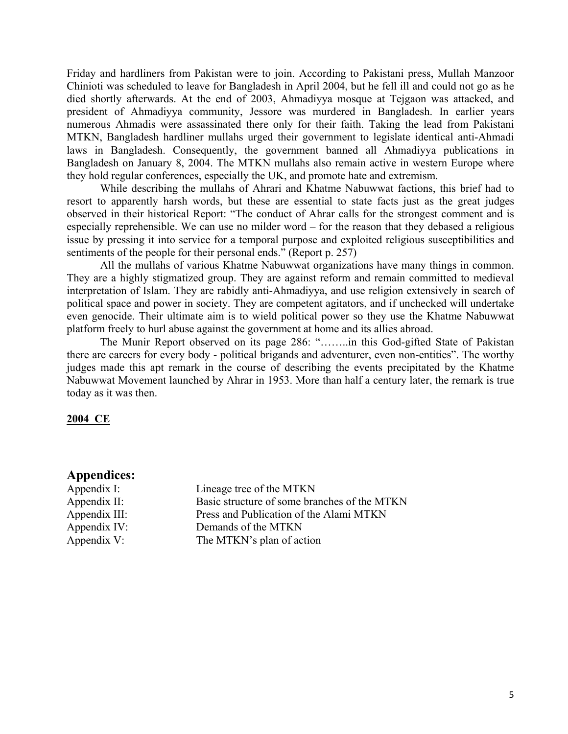Friday and hardliners from Pakistan were to join. According to Pakistani press, Mullah Manzoor Chinioti was scheduled to leave for Bangladesh in April 2004, but he fell ill and could not go as he died shortly afterwards. At the end of 2003, Ahmadiyya mosque at Tejgaon was attacked, and president of Ahmadiyya community, Jessore was murdered in Bangladesh. In earlier years numerous Ahmadis were assassinated there only for their faith. Taking the lead from Pakistani MTKN, Bangladesh hardliner mullahs urged their government to legislate identical anti-Ahmadi laws in Bangladesh. Consequently, the government banned all Ahmadiyya publications in Bangladesh on January 8, 2004. The MTKN mullahs also remain active in western Europe where they hold regular conferences, especially the UK, and promote hate and extremism.

 While describing the mullahs of Ahrari and Khatme Nabuwwat factions, this brief had to resort to apparently harsh words, but these are essential to state facts just as the great judges observed in their historical Report: "The conduct of Ahrar calls for the strongest comment and is especially reprehensible. We can use no milder word – for the reason that they debased a religious issue by pressing it into service for a temporal purpose and exploited religious susceptibilities and sentiments of the people for their personal ends." (Report p. 257)

 All the mullahs of various Khatme Nabuwwat organizations have many things in common. They are a highly stigmatized group. They are against reform and remain committed to medieval interpretation of Islam. They are rabidly anti-Ahmadiyya, and use religion extensively in search of political space and power in society. They are competent agitators, and if unchecked will undertake even genocide. Their ultimate aim is to wield political power so they use the Khatme Nabuwwat platform freely to hurl abuse against the government at home and its allies abroad.

 The Munir Report observed on its page 286: "……..in this God-gifted State of Pakistan there are careers for every body - political brigands and adventurer, even non-entities". The worthy judges made this apt remark in the course of describing the events precipitated by the Khatme Nabuwwat Movement launched by Ahrar in 1953. More than half a century later, the remark is true today as it was then.

#### **2004 CE**

#### **Appendices:**

Appendix I: Lineage tree of the MTKN Appendix II: Basic structure of some branches of the MTKN Appendix III: Press and Publication of the Alami MTKN Appendix IV: Demands of the MTKN Appendix V: The MTKN's plan of action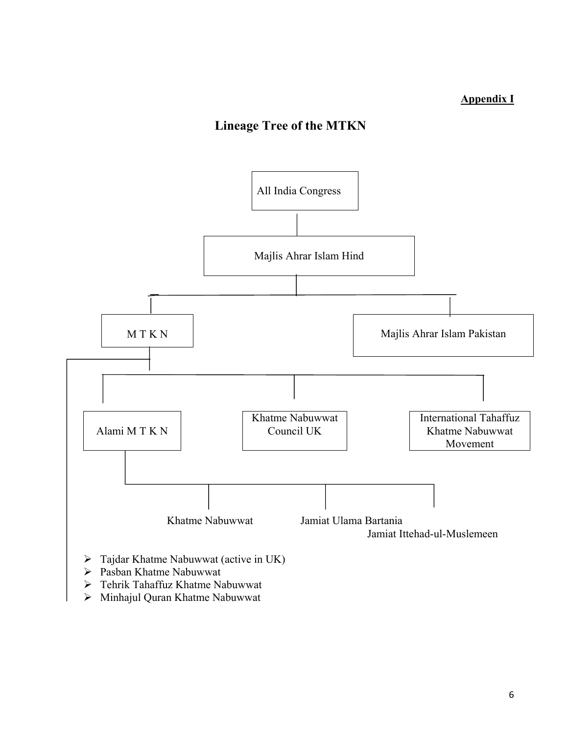## **Appendix I**

# **Lineage Tree of the MTKN**



- ¾ Pasban Khatme Nabuwwat
- ¾ Tehrik Tahaffuz Khatme Nabuwwat
- ¾ Minhajul Quran Khatme Nabuwwat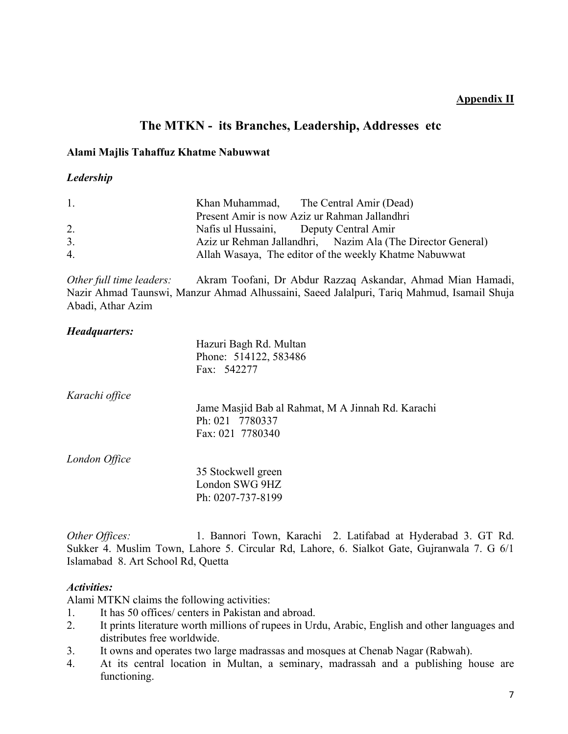## **Appendix II**

## **The MTKN - its Branches, Leadership, Addresses etc**

#### **Alami Majlis Tahaffuz Khatme Nabuwwat**

#### *Ledership*

| $\mathbf{1}_{-}$ | Khan Muhammad, The Central Amir (Dead)                      |
|------------------|-------------------------------------------------------------|
|                  | Present Amir is now Aziz ur Rahman Jallandhri               |
| 2.               | Nafis ul Hussaini, Deputy Central Amir                      |
| 3.               | Aziz ur Rehman Jallandhri, Nazim Ala (The Director General) |
| $\overline{4}$   | Allah Wasaya, The editor of the weekly Khatme Nabuwwat      |

*Other full time leaders:* Akram Toofani, Dr Abdur Razzaq Askandar, Ahmad Mian Hamadi, Nazir Ahmad Taunswi, Manzur Ahmad Alhussaini, Saeed Jalalpuri, Tariq Mahmud, Isamail Shuja Abadi, Athar Azim

## *Headquarters:*

|                | Hazuri Bagh Rd. Multan<br>Phone: 514122, 583486   |
|----------------|---------------------------------------------------|
|                | Fax: 542277                                       |
| Karachi office |                                                   |
|                | Jame Masjid Bab al Rahmat, M A Jinnah Rd. Karachi |
|                | Ph: 021 7780337                                   |
|                | Fax: 021 7780340                                  |
| London Office  |                                                   |
|                | 35 Stockwell green                                |
|                | London SWG 9HZ                                    |
|                | Ph: 0207-737-8199                                 |

*Other Offices:* 1. Bannori Town, Karachi 2. Latifabad at Hyderabad 3. GT Rd. Sukker 4. Muslim Town, Lahore 5. Circular Rd, Lahore, 6. Sialkot Gate, Gujranwala 7. G 6/1 Islamabad 8. Art School Rd, Quetta

#### *Activities:*

Alami MTKN claims the following activities:

- 1. It has 50 offices/ centers in Pakistan and abroad.
- 2. It prints literature worth millions of rupees in Urdu, Arabic, English and other languages and distributes free worldwide.
- 3. It owns and operates two large madrassas and mosques at Chenab Nagar (Rabwah).
- 4. At its central location in Multan, a seminary, madrassah and a publishing house are functioning.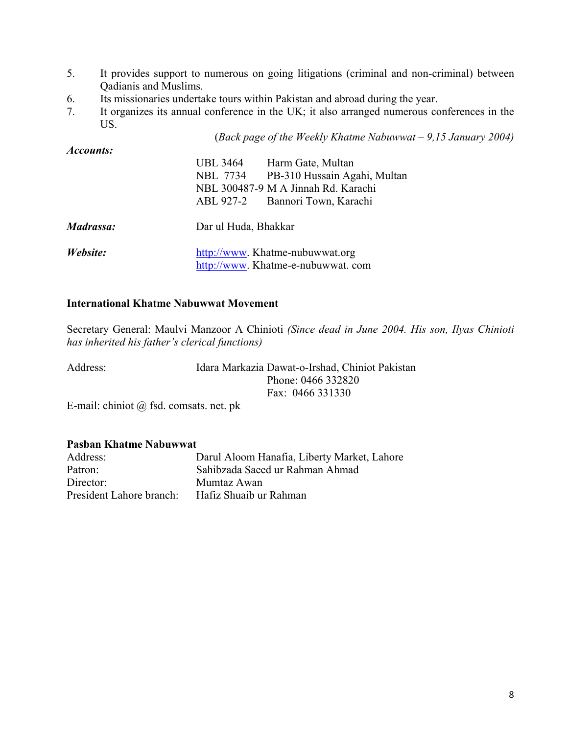- 5. It provides support to numerous on going litigations (criminal and non-criminal) between Qadianis and Muslims.
- 6. Its missionaries undertake tours within Pakistan and abroad during the year.
- 7. It organizes its annual conference in the UK; it also arranged numerous conferences in the US.

(*Back page of the Weekly Khatme Nabuwwat – 9,15 January 2004)* 

| Accounts: |                                          |  |
|-----------|------------------------------------------|--|
|           | <b>UBL 3464</b><br>Harm Gate, Multan     |  |
|           | PB-310 Hussain Agahi, Multan<br>NBL 7734 |  |
|           | NBL 300487-9 M A Jinnah Rd. Karachi      |  |
|           | ABL 927-2 Bannori Town, Karachi          |  |
| Madrassa: | Dar ul Huda, Bhakkar                     |  |
| Website:  | http://www. Khatme-nubuwwat.org          |  |
|           | http://www.Khatme-e-nubuwwat.com         |  |

#### **International Khatme Nabuwwat Movement**

Secretary General: Maulvi Manzoor A Chinioti *(Since dead in June 2004. His son, Ilyas Chinioti has inherited his father's clerical functions)* 

| Address: | Idara Markazia Dawat-o-Irshad, Chiniot Pakistan |
|----------|-------------------------------------------------|
|          | Phone: 0466 332820                              |
|          | Fax: 0466 331330                                |
| $-$      |                                                 |

E-mail: chiniot @ fsd. comsats. net. pk

#### **Pasban Khatme Nabuwwat**

| Address:                 | Darul Aloom Hanafia, Liberty Market, Lahore |
|--------------------------|---------------------------------------------|
| Patron:                  | Sahibzada Saeed ur Rahman Ahmad             |
| Director:                | Mumtaz Awan                                 |
| President Lahore branch: | Hafiz Shuaib ur Rahman                      |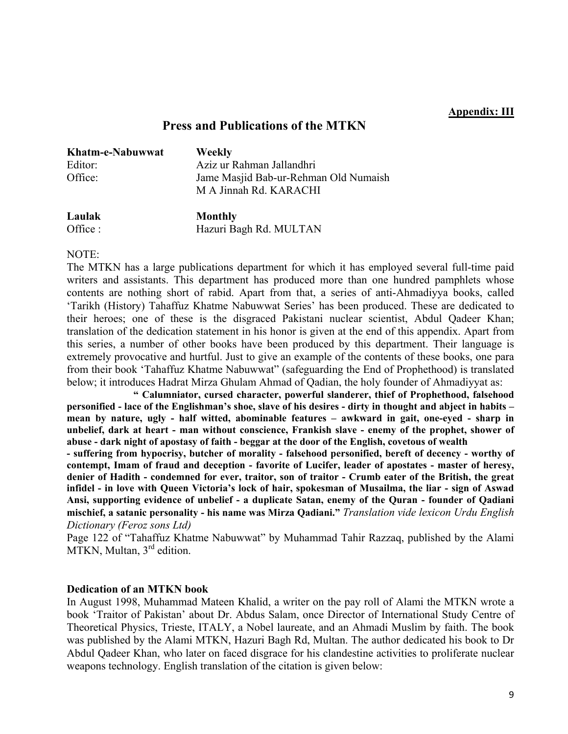#### **Appendix: III**

## **Press and Publications of the MTKN**

| Khatm-e-Nabuwwat | <b>Weekly</b>                         |
|------------------|---------------------------------------|
| Editor:          | Aziz ur Rahman Jallandhri             |
| Office:          | Jame Masjid Bab-ur-Rehman Old Numaish |
|                  | M A Jinnah Rd. KARACHI                |
|                  |                                       |

**Laulak Monthly**  Office : Hazuri Bagh Rd. MULTAN

#### NOTE:

The MTKN has a large publications department for which it has employed several full-time paid writers and assistants. This department has produced more than one hundred pamphlets whose contents are nothing short of rabid. Apart from that, a series of anti-Ahmadiyya books, called 'Tarikh (History) Tahaffuz Khatme Nabuwwat Series' has been produced. These are dedicated to their heroes; one of these is the disgraced Pakistani nuclear scientist, Abdul Qadeer Khan; translation of the dedication statement in his honor is given at the end of this appendix. Apart from this series, a number of other books have been produced by this department. Their language is extremely provocative and hurtful. Just to give an example of the contents of these books, one para from their book 'Tahaffuz Khatme Nabuwwat" (safeguarding the End of Prophethood) is translated below; it introduces Hadrat Mirza Ghulam Ahmad of Qadian, the holy founder of Ahmadiyyat as:

**" Calumniator, cursed character, powerful slanderer, thief of Prophethood, falsehood personified - lace of the Englishman's shoe, slave of his desires - dirty in thought and abject in habits – mean by nature, ugly - half witted, abominable features – awkward in gait, one-eyed - sharp in unbelief, dark at heart - man without conscience, Frankish slave - enemy of the prophet, shower of abuse - dark night of apostasy of faith - beggar at the door of the English, covetous of wealth** 

**- suffering from hypocrisy, butcher of morality - falsehood personified, bereft of decency - worthy of contempt, Imam of fraud and deception - favorite of Lucifer, leader of apostates - master of heresy, denier of Hadith - condemned for ever, traitor, son of traitor - Crumb eater of the British, the great infidel - in love with Queen Victoria's lock of hair, spokesman of Musailma, the liar - sign of Aswad Ansi, supporting evidence of unbelief - a duplicate Satan, enemy of the Quran - founder of Qadiani mischief, a satanic personality - his name was Mirza Qadiani."** *Translation vide lexicon Urdu English Dictionary (Feroz sons Ltd)*

Page 122 of "Tahaffuz Khatme Nabuwwat" by Muhammad Tahir Razzaq, published by the Alami MTKN, Multan, 3<sup>rd</sup> edition.

#### **Dedication of an MTKN book**

In August 1998, Muhammad Mateen Khalid, a writer on the pay roll of Alami the MTKN wrote a book 'Traitor of Pakistan' about Dr. Abdus Salam, once Director of International Study Centre of Theoretical Physics, Trieste, ITALY, a Nobel laureate, and an Ahmadi Muslim by faith. The book was published by the Alami MTKN, Hazuri Bagh Rd, Multan. The author dedicated his book to Dr Abdul Qadeer Khan, who later on faced disgrace for his clandestine activities to proliferate nuclear weapons technology. English translation of the citation is given below: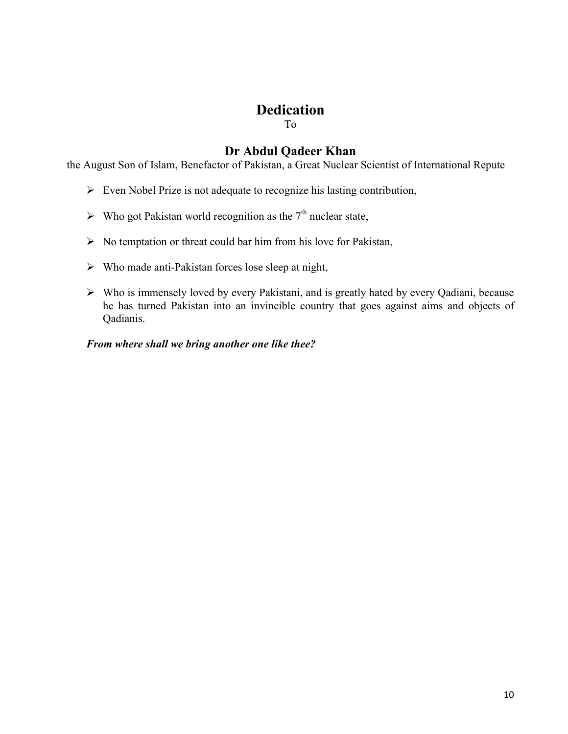# **Dedication**

To

## **Dr Abdul Qadeer Khan**

the August Son of Islam, Benefactor of Pakistan, a Great Nuclear Scientist of International Repute

- $\triangleright$  Even Nobel Prize is not adequate to recognize his lasting contribution,
- $\triangleright$  Who got Pakistan world recognition as the 7<sup>th</sup> nuclear state,
- $\triangleright$  No temptation or threat could bar him from his love for Pakistan,
- $\triangleright$  Who made anti-Pakistan forces lose sleep at night,
- ¾ Who is immensely loved by every Pakistani, and is greatly hated by every Qadiani, because he has turned Pakistan into an invincible country that goes against aims and objects of Qadianis.

*From where shall we bring another one like thee?*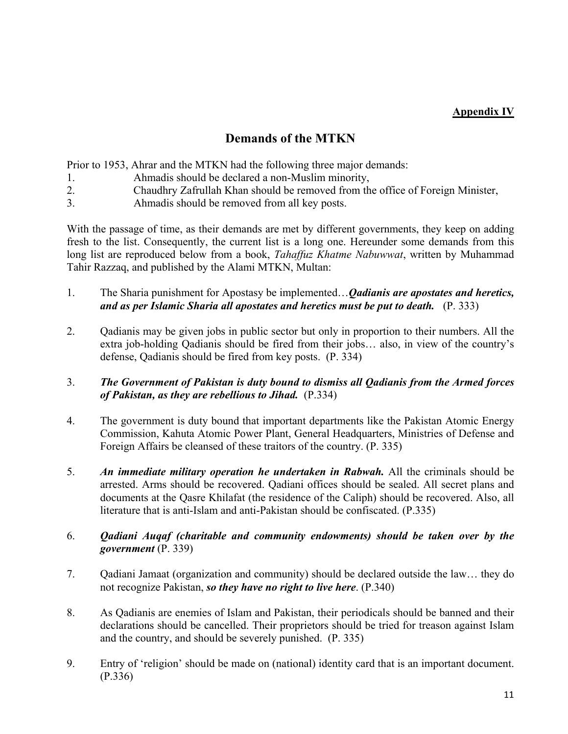## **Appendix IV**

## **Demands of the MTKN**

Prior to 1953, Ahrar and the MTKN had the following three major demands:

- 1. Ahmadis should be declared a non-Muslim minority,
- 2. Chaudhry Zafrullah Khan should be removed from the office of Foreign Minister,
- 3. Ahmadis should be removed from all key posts.

With the passage of time, as their demands are met by different governments, they keep on adding fresh to the list. Consequently, the current list is a long one. Hereunder some demands from this long list are reproduced below from a book, *Tahaffuz Khatme Nabuwwat*, written by Muhammad Tahir Razzaq, and published by the Alami MTKN, Multan:

- 1. The Sharia punishment for Apostasy be implemented…*Qadianis are apostates and heretics, and as per Islamic Sharia all apostates and heretics must be put to death.* (P. 333)
- 2. Qadianis may be given jobs in public sector but only in proportion to their numbers. All the extra job-holding Qadianis should be fired from their jobs… also, in view of the country's defense, Qadianis should be fired from key posts. (P. 334)
- 3. *The Government of Pakistan is duty bound to dismiss all Qadianis from the Armed forces of Pakistan, as they are rebellious to Jihad.* (P.334)
- 4. The government is duty bound that important departments like the Pakistan Atomic Energy Commission, Kahuta Atomic Power Plant, General Headquarters, Ministries of Defense and Foreign Affairs be cleansed of these traitors of the country. (P. 335)
- 5. *An immediate military operation he undertaken in Rabwah.* All the criminals should be arrested. Arms should be recovered. Qadiani offices should be sealed. All secret plans and documents at the Qasre Khilafat (the residence of the Caliph) should be recovered. Also, all literature that is anti-Islam and anti-Pakistan should be confiscated. (P.335)
- 6. *Qadiani Auqaf (charitable and community endowments) should be taken over by the government* (P. 339)
- 7. Qadiani Jamaat (organization and community) should be declared outside the law… they do not recognize Pakistan, *so they have no right to live here*. (P.340)
- 8. As Qadianis are enemies of Islam and Pakistan, their periodicals should be banned and their declarations should be cancelled. Their proprietors should be tried for treason against Islam and the country, and should be severely punished. (P. 335)
- 9. Entry of 'religion' should be made on (national) identity card that is an important document. (P.336)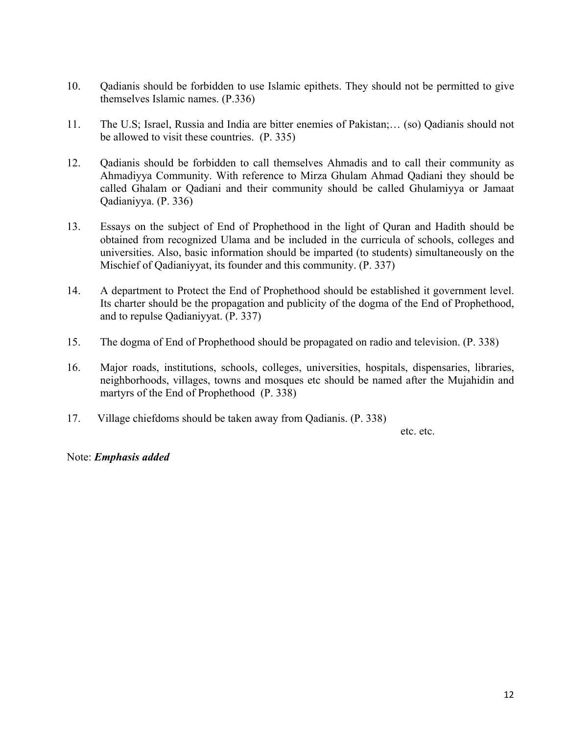- 10. Qadianis should be forbidden to use Islamic epithets. They should not be permitted to give themselves Islamic names. (P.336)
- 11. The U.S; Israel, Russia and India are bitter enemies of Pakistan;… (so) Qadianis should not be allowed to visit these countries. (P. 335)
- 12. Qadianis should be forbidden to call themselves Ahmadis and to call their community as Ahmadiyya Community. With reference to Mirza Ghulam Ahmad Qadiani they should be called Ghalam or Qadiani and their community should be called Ghulamiyya or Jamaat Qadianiyya. (P. 336)
- 13. Essays on the subject of End of Prophethood in the light of Quran and Hadith should be obtained from recognized Ulama and be included in the curricula of schools, colleges and universities. Also, basic information should be imparted (to students) simultaneously on the Mischief of Qadianiyyat, its founder and this community. (P. 337)
- 14. A department to Protect the End of Prophethood should be established it government level. Its charter should be the propagation and publicity of the dogma of the End of Prophethood, and to repulse Qadianiyyat. (P. 337)
- 15. The dogma of End of Prophethood should be propagated on radio and television. (P. 338)
- 16. Major roads, institutions, schools, colleges, universities, hospitals, dispensaries, libraries, neighborhoods, villages, towns and mosques etc should be named after the Mujahidin and martyrs of the End of Prophethood (P. 338)
- 17. Village chiefdoms should be taken away from Qadianis. (P. 338)

etc. etc.

Note: *Emphasis added*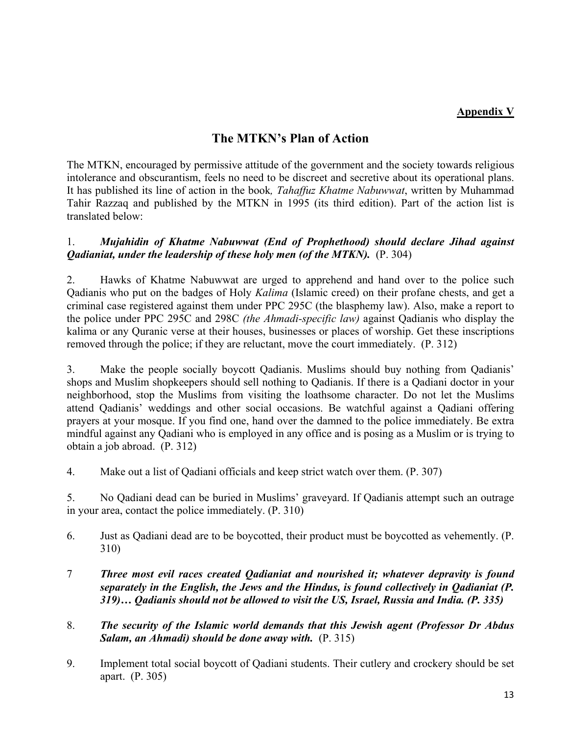### **Appendix V**

## **The MTKN's Plan of Action**

The MTKN, encouraged by permissive attitude of the government and the society towards religious intolerance and obscurantism, feels no need to be discreet and secretive about its operational plans. It has published its line of action in the book*, Tahaffuz Khatme Nabuwwat*, written by Muhammad Tahir Razzaq and published by the MTKN in 1995 (its third edition). Part of the action list is translated below:

### 1. *Mujahidin of Khatme Nabuwwat (End of Prophethood) should declare Jihad against Qadianiat, under the leadership of these holy men (of the MTKN).* (P. 304)

2. Hawks of Khatme Nabuwwat are urged to apprehend and hand over to the police such Qadianis who put on the badges of Holy *Kalima* (Islamic creed) on their profane chests, and get a criminal case registered against them under PPC 295C (the blasphemy law). Also, make a report to the police under PPC 295C and 298C *(the Ahmadi-specific law)* against Qadianis who display the kalima or any Quranic verse at their houses, businesses or places of worship. Get these inscriptions removed through the police; if they are reluctant, move the court immediately. (P. 312)

3. Make the people socially boycott Qadianis. Muslims should buy nothing from Qadianis' shops and Muslim shopkeepers should sell nothing to Qadianis. If there is a Qadiani doctor in your neighborhood, stop the Muslims from visiting the loathsome character. Do not let the Muslims attend Qadianis' weddings and other social occasions. Be watchful against a Qadiani offering prayers at your mosque. If you find one, hand over the damned to the police immediately. Be extra mindful against any Qadiani who is employed in any office and is posing as a Muslim or is trying to obtain a job abroad. (P. 312)

4. Make out a list of Qadiani officials and keep strict watch over them. (P. 307)

5. No Qadiani dead can be buried in Muslims' graveyard. If Qadianis attempt such an outrage in your area, contact the police immediately. (P. 310)

- 6. Just as Qadiani dead are to be boycotted, their product must be boycotted as vehemently. (P. 310)
- 7 *Three most evil races created Qadianiat and nourished it; whatever depravity is found separately in the English, the Jews and the Hindus, is found collectively in Qadianiat (P. 319)… Qadianis should not be allowed to visit the US, Israel, Russia and India. (P. 335)*
- 8. *The security of the Islamic world demands that this Jewish agent (Professor Dr Abdus Salam, an Ahmadi) should be done away with.* (P. 315)
- 9. Implement total social boycott of Qadiani students. Their cutlery and crockery should be set apart. (P. 305)